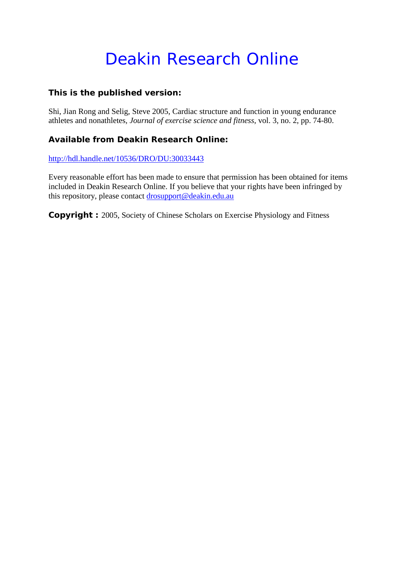# Deakin Research Online

## **This is the published version:**

Shi, Jian Rong and Selig, Steve 2005, Cardiac structure and function in young endurance athletes and nonathletes*, Journal of exercise science and fitness*, vol. 3, no. 2, pp. 74-80.

## **Available from Deakin Research Online:**

<http://hdl.handle.net/10536/DRO/DU:30033443>

Every reasonable effort has been made to ensure that permission has been obtained for items included in Deakin Research Online. If you believe that your rights have been infringed by this repository, please contact [drosupport@deakin.edu.au](mailto:drosupport@deakin.edu.au)

**Copyright :** 2005, Society of Chinese Scholars on Exercise Physiology and Fitness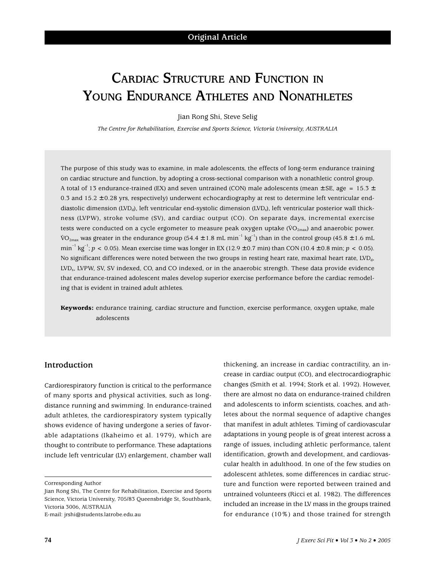# **CARDIAC STRUCTURE AND FUNCTION IN YOUNG ENDURANCE ATHLETES AND NONATHLETES**

Jian Rong Shi, Steve Selig

*The Centre for Rehabilitation, Exercise and Sports Science, Victoria University, AUSTRALIA*

The purpose of this study was to examine, in male adolescents, the effects of long-term endurance training on cardiac structure and function, by adopting a cross-sectional comparison with a nonathletic control group. A total of 13 endurance-trained (EX) and seven untrained (CON) male adolescents (mean  $\pm$  SE, age = 15.3  $\pm$ 0.3 and  $15.2 \pm 0.28$  yrs, respectively) underwent echocardiography at rest to determine left ventricular enddiastolic dimension (LVD<sub>d</sub>), left ventricular end-systolic dimension (LVD<sub>e</sub>), left ventricular posterior wall thickness (LVPW), stroke volume (SV), and cardiac output (CO). On separate days, incremental exercise tests were conducted on a cycle ergometer to measure peak oxygen uptake ( $\dot{V}O_{2\text{max}}$ ) and anaerobic power.  $\rm \ddot{VO}_{2max}$  was greater in the endurance group (54.4 ± 1.8 mL min $^{-1}$  kg $^{-1}$ ) than in the control group (45.8 ± 1.6 mL min<sup>-1</sup> kg<sup>-1</sup>;  $p < 0.05$ ). Mean exercise time was longer in EX (12.9 ± 0.7 min) than CON (10.4 ± 0.8 min;  $p < 0.05$ ). No significant differences were noted between the two groups in resting heart rate, maximal heart rate, LVD<sub>d</sub>, LVDs, LVPW, SV, SV indexed, CO, and CO indexed, or in the anaerobic strength. These data provide evidence that endurance-trained adolescent males develop superior exercise performance before the cardiac remodeling that is evident in trained adult athletes.

**Keywords:** endurance training, cardiac structure and function, exercise performance, oxygen uptake, male adolescents

#### **Introduction**

Cardiorespiratory function is critical to the performance of many sports and physical activities, such as longdistance running and swimming. In endurance-trained adult athletes, the cardiorespiratory system typically shows evidence of having undergone a series of favorable adaptations (Ikaheimo et al. 1979), which are thought to contribute to performance. These adaptations include left ventricular (LV) enlargement, chamber wall

Corresponding Author

Jian Rong Shi, The Centre for Rehabilitation, Exercise and Sports Science, Victoria University, 705/83 Queensbridge St, Southbank, Victoria 3006, AUSTRALIA

E-mail: jrshi@students.latrobe.edu.au

thickening, an increase in cardiac contractility, an increase in cardiac output (CO), and electrocardiographic changes (Smith et al. 1994; Stork et al. 1992). However, there are almost no data on endurance-trained children and adolescents to inform scientists, coaches, and athletes about the normal sequence of adaptive changes that manifest in adult athletes. Timing of cardiovascular adaptations in young people is of great interest across a range of issues, including athletic performance, talent identification, growth and development, and cardiovascular health in adulthood. In one of the few studies on adolescent athletes, some differences in cardiac structure and function were reported between trained and untrained volunteers (Ricci et al. 1982). The differences included an increase in the LV mass in the groups trained for endurance (10%) and those trained for strength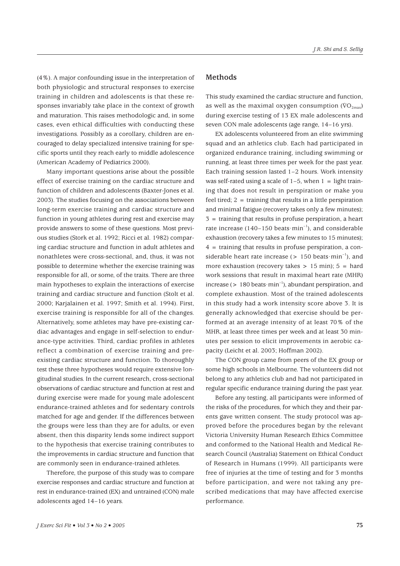(4%). A major confounding issue in the interpretation of both physiologic and structural responses to exercise training in children and adolescents is that these responses invariably take place in the context of growth and maturation. This raises methodologic and, in some cases, even ethical difficulties with conducting these investigations. Possibly as a corollary, children are encouraged to delay specialized intensive training for specific sports until they reach early to middle adolescence (American Academy of Pediatrics 2000).

Many important questions arise about the possible effect of exercise training on the cardiac structure and function of children and adolescents (Baxter-Jones et al. 2003). The studies focusing on the associations between long-term exercise training and cardiac structure and function in young athletes during rest and exercise may provide answers to some of these questions. Most previous studies (Stork et al. 1992; Ricci et al. 1982) comparing cardiac structure and function in adult athletes and nonathletes were cross-sectional, and, thus, it was not possible to determine whether the exercise training was responsible for all, or some, of the traits. There are three main hypotheses to explain the interactions of exercise training and cardiac structure and function (Stolt et al. 2000; Karjalainen et al. 1997; Smith et al. 1994). First, exercise training is responsible for all of the changes. Alternatively, some athletes may have pre-existing cardiac advantages and engage in self-selection to endurance-type activities. Third, cardiac profiles in athletes reflect a combination of exercise training and preexisting cardiac structure and function. To thoroughly test these three hypotheses would require extensive longitudinal studies. In the current research, cross-sectional observations of cardiac structure and function at rest and during exercise were made for young male adolescent endurance-trained athletes and for sedentary controls matched for age and gender. If the differences between the groups were less than they are for adults, or even absent, then this disparity lends some indirect support to the hypothesis that exercise training contributes to the improvements in cardiac structure and function that are commonly seen in endurance-trained athletes.

Therefore, the purpose of this study was to compare exercise responses and cardiac structure and function at rest in endurance-trained (EX) and untrained (CON) male adolescents aged 14–16 years.

#### **Methods**

This study examined the cardiac structure and function, as well as the maximal oxygen consumption ( $\rm\ddot{VO}_{2max}$ ) during exercise testing of 13 EX male adolescents and seven CON male adolescents (age range, 14–16 yrs).

EX adolescents volunteered from an elite swimming squad and an athletics club. Each had participated in organized endurance training, including swimming or running, at least three times per week for the past year. Each training session lasted 1–2 hours. Work intensity was self-rated using a scale of  $1-5$ , when  $1 =$  light training that does not result in perspiration or make you feel tired;  $2 = \text{training that results in a little perspiration}$ and minimal fatigue (recovery takes only a few minutes); 3 = training that results in profuse perspiration, a heart rate increase (140–150 beats $\cdot$ min<sup>-1</sup>), and considerable exhaustion (recovery takes a few minutes to 15 minutes);  $4 =$  training that results in profuse perspiration, a considerable heart rate increase ( $> 150$  beats min<sup>-1</sup>), and more exhaustion (recovery takes  $> 15$  min);  $5 =$  hard work sessions that result in maximal heart rate (MHR) increase ( $> 180$  beats  $\cdot$  min<sup>-1</sup>), abundant perspiration, and complete exhaustion. Most of the trained adolescents in this study had a work intensity score above 3. It is generally acknowledged that exercise should be performed at an average intensity of at least 70% of the MHR, at least three times per week and at least 30 minutes per session to elicit improvements in aerobic capacity (Leicht et al. 2003; Hoffman 2002).

The CON group came from peers of the EX group or some high schools in Melbourne. The volunteers did not belong to any athletics club and had not participated in regular specific endurance training during the past year.

Before any testing, all participants were informed of the risks of the procedures, for which they and their parents gave written consent. The study protocol was approved before the procedures began by the relevant Victoria University Human Research Ethics Committee and conformed to the National Health and Medical Research Council (Australia) Statement on Ethical Conduct of Research in Humans (1999). All participants were free of injuries at the time of testing and for 3 months before participation, and were not taking any prescribed medications that may have affected exercise performance.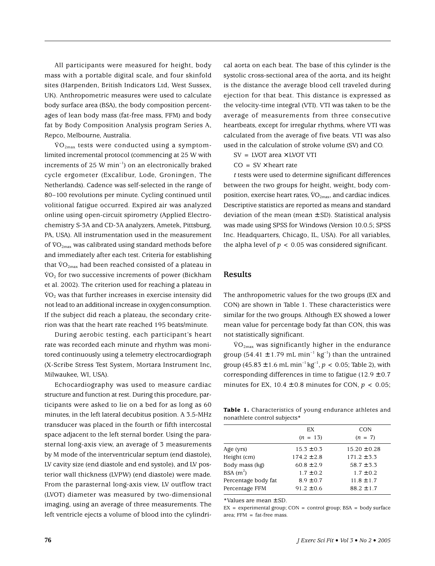All participants were measured for height, body mass with a portable digital scale, and four skinfold sites (Harpenden, British Indicators Ltd, West Sussex, UK). Anthropometric measures were used to calculate body surface area (BSA), the body composition percentages of lean body mass (fat-free mass, FFM) and body fat by Body Composition Analysis program Series A, Repco, Melbourne, Australia.

 $\rm \dot{VO}_{2max}$  tests were conducted using a symptomlimited incremental protocol (commencing at 25 W with increments of 25 W min<sup>-1</sup>) on an electronically braked cycle ergometer (Excalibur, Lode, Groningen, The Netherlands). Cadence was self-selected in the range of 80–100 revolutions per minute. Cycling continued until volitional fatigue occurred. Expired air was analyzed online using open-circuit spirometry (Applied Electrochemistry S-3A and CD-3A analyzers, Ametek, Pittsburg, PA, USA). All instrumentation used in the measurement of  $\rm{VO}_{2\text{max}}$  was calibrated using standard methods before and immediately after each test. Criteria for establishing that  $\rm{VO_{2max}}$  had been reached consisted of a plateau in  $\rm \dot{VO}_2$  for two successive increments of power (Bickham et al. 2002). The criterion used for reaching a plateau in  $\rm \dot{VO}_2$  was that further increases in exercise intensity did not lead to an additional increase in oxygenconsumption. If the subject did reach a plateau, the secondary criterion was that the heart rate reached 195 beats/minute.

During aerobic testing, each participant's heart rate was recorded each minute and rhythm was monitored continuously using a telemetry electrocardiograph (X-Scribe Stress Test System, Mortara Instrument Inc, Milwaukee, WI, USA).

Echocardiography was used to measure cardiac structure and function at rest. During this procedure, participants were asked to lie on a bed for as long as 60 minutes, in the left lateral decubitus position. A 3.5-MHz transducer was placed in the fourth or fifth intercostal space adjacent to the left sternal border. Using the parasternal long-axis view, an average of 3 measurements by M mode of the interventricular septum (end diastole), LV cavity size (end diastole and end systole), and LV posterior wall thickness (LVPW) (end diastole) were made. From the parasternal long-axis view, LV outflow tract (LVOT) diameter was measured by two-dimensional imaging, using an average of three measurements. The left ventricle ejects a volume of blood into the cylindrical aorta on each beat. The base of this cylinder is the systolic cross-sectional area of the aorta, and its height is the distance the average blood cell traveled during ejection for that beat. This distance is expressed as the velocity-time integral (VTI). VTI was taken to be the average of measurements from three consecutive heartbeats, except for irregular rhythms, where VTI was calculated from the average of five beats. VTI was also used in the calculation of stroke volume (SV) and CO.

 $SV = LVOT$  area  $\times$  LVOT VTI

 $CO = SV \times heart$  rate

*t* tests were used to determine significant differences between the two groups for height, weight, body composition, exercise heart rates,  $\rm \ddot{v}O_{2max}$ , and cardiac indices. Descriptive statistics are reported as means and standard deviation of the mean (mean  $\pm$  SD). Statistical analysis was made using SPSS for Windows (Version 10.0.5; SPSS Inc. Headquarters, Chicago, IL, USA). For all variables, the alpha level of  $p < 0.05$  was considered significant.

#### **Results**

The anthropometric values for the two groups (EX and CON) are shown in Table 1. These characteristics were similar for the two groups. Although EX showed a lower mean value for percentage body fat than CON, this was not statistically significant.

 $\rm \dot{VO}_{2max}$  was significantly higher in the endurance group (54.41  $\pm$  1.79 mL min<sup>-1</sup> kg<sup>-1</sup>) than the untrained group (45.83 ± 1.6 mL min<sup>-1</sup> kg<sup>-1</sup>,  $p < 0.05$ ; Table 2), with corresponding differences in time to fatigue  $(12.9 \pm 0.7)$ minutes for EX,  $10.4 \pm 0.8$  minutes for CON,  $p < 0.05$ ;

**Table 1.** Characteristics of young endurance athletes and nonathlete control subjects\*

| EX              | <b>CON</b>       |
|-----------------|------------------|
| $(n = 13)$      | $(n = 7)$        |
| $15.3 \pm 0.3$  | $15.20 \pm 0.28$ |
| $174.2 \pm 2.8$ | $171.2 \pm 3.3$  |
| $60.8 \pm 2.9$  | $58.7 \pm 3.3$   |
| $1.7 \pm 0.2$   | $1.7 \pm 0.2$    |
| $8.9 \pm 0.7$   | $11.8 \pm 1.7$   |
| $91.2 \pm 0.6$  | $88.2 \pm 1.7$   |
|                 |                  |

\*Values are mean ± SD.

 $EX = experimental group; CON = control group; BSA = body surface$ area;  $FFM = fat-free mass$ .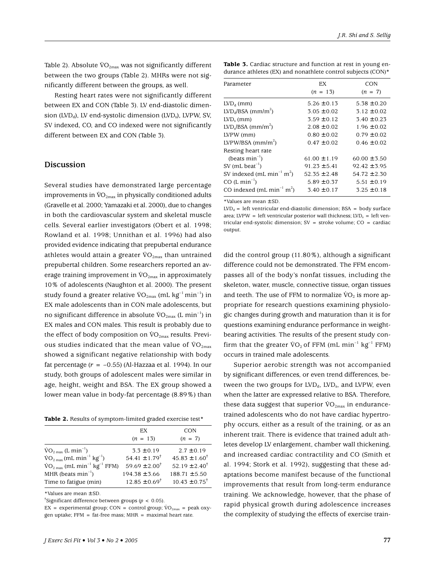Table 2). Absolute  $\rm{VO}_{2\text{max}}$  was not significantly different between the two groups (Table 2). MHRs were not significantly different between the groups, as well.

Resting heart rates were not significantly different between EX and CON (Table 3). LV end-diastolic dimension (LVD<sub>d</sub>), LV end-systolic dimension (LVD<sub>s</sub>), LVPW, SV, SV indexed, CO, and CO indexed were not significantly different between EX and CON (Table 3).

#### **Discussion**

Several studies have demonstrated large percentage improvements in  $\rm{VO}_{2\text{max}}$  in physically conditioned adults (Gravelle et al. 2000; Yamazaki et al. 2000), due to changes in both the cardiovascular system and skeletal muscle cells. Several earlier investigators (Obert et al. 1998; Rowland et al. 1998; Unnithan et al. 1996) had also provided evidence indicating that prepubertal endurance athletes would attain a greater  $\rm{VO}_{2max}$  than untrained prepubertal children. Some researchers reported an average training improvement in  $\rm{VO}_{2\text{max}}$  in approximately 10% of adolescents (Naughton et al. 2000). The present study found a greater relative  $\rm{VO}_{2max}$  (mL kg<sup>-1</sup> min<sup>-1</sup>) in EX male adolescents than in CON male adolescents, but no significant difference in absolute  $\rm{VO}_{2\text{max}}$  (L min<sup>-1</sup>) in EX males and CON males. This result is probably due to the effect of body composition on  $\rm{VO}_{2\text{max}}$  results. Previous studies indicated that the mean value of  $\rm{VO}_{2\text{max}}$ showed a significant negative relationship with body fat percentage  $(r = -0.55)$  (Al-Hazzaa et al. 1994). In our study, both groups of adolescent males were similar in age, height, weight and BSA. The EX group showed a lower mean value in body-fat percentage (8.89%) than

**Table 2.** Results of symptom-limited graded exercise test\*

|                                                                     | EX                            | <b>CON</b>                 |
|---------------------------------------------------------------------|-------------------------------|----------------------------|
|                                                                     | $(n = 13)$                    | $(n = 7)$                  |
| $\text{VO}_{2\,\text{max}}$ (L min <sup>-1</sup> )                  | $3.3 \pm 0.19$                | $2.7 \pm 0.19$             |
| $\rm \dot{VO}_{2\,max}(mL\,min^{-1}\,kg^{-1})$                      | $54.41 \pm 1.79$ <sup>†</sup> | $45.83 \pm 1.60^{\dagger}$ |
| $\rm \dot{VO}_{2\,max}$ (mL min <sup>-1</sup> kg <sup>-1</sup> FFM) | $59.69 \pm 2.00^{\dagger}$    | $52.19 \pm 2.40^{\dagger}$ |
| MHR (beats $min^{-1}$ )                                             | $194.38 \pm 3.66$             | $188.71 \pm 5.50$          |
| Time to fatigue (min)                                               | $12.85 \pm 0.69^{\dagger}$    | $10.43 \pm 0.75^{\dagger}$ |
|                                                                     |                               |                            |

\*Values are mean ± SD.

† Significant difference between groups (*p* < 0.05).

EX = experimental group; CON = control group;  $\dot{V}O_{2m}$  = peak oxygen uptake;  $FFM = fat-free mass$ ;  $MHR = maximal heart rate$ .

| <b>Table 3.</b> Cardiac structure and function at rest in young en- |
|---------------------------------------------------------------------|
| durance athletes (EX) and nonathlete control subjects $(CON)^*$     |

| Parameter                                         | EX               | CON              |
|---------------------------------------------------|------------------|------------------|
|                                                   | $(n = 13)$       | $(n = 7)$        |
| $LVDd$ (mm)                                       | $5.26 \pm 0.13$  | $5.38 \pm 0.20$  |
| $LVD_d/BSA$ (mm/m <sup>2</sup> )                  | $3.05 \pm 0.02$  | $3.12 \pm 0.02$  |
| $LVD_{s}$ (mm)                                    | $3.59 \pm 0.12$  | $3.40 \pm 0.23$  |
| $LVD_s/BSA$ (mm/m <sup>2</sup> )                  | $2.08 \pm 0.02$  | $1.96 \pm 0.02$  |
| LVPW (mm)                                         | $0.80 \pm 0.02$  | $0.79 \pm 0.02$  |
| LVPW/BSA $(mm/m^2)$                               | $0.47 \pm 0.02$  | $0.46 \pm 0.02$  |
| Resting heart rate                                |                  |                  |
| (beats $min^{-1}$ )                               | $61.00 \pm 1.19$ | $60.00 \pm 3.50$ |
| SV (mL beat <sup>-1</sup> )                       | $91.23 + 5.41$   | $92.42 + 3.95$   |
| SV indexed (mL min <sup>-1</sup> m <sup>2</sup> ) | $52.35 \pm 2.48$ | $54.72 \pm 2.30$ |
| $CO (L min-1)$                                    | $5.89 \pm 0.37$  | $5.51 \pm 0.19$  |
| CO indexed (mL min <sup>-1</sup> m <sup>2</sup> ) | $3.40 \pm 0.17$  | $3.25 \pm 0.18$  |

\*Values are mean ± SD.

 $LVD_d$  = left ventricular end-diastolic dimension; BSA = body surface area; LVPW = left ventricular posterior wall thickness; LVD<sub>s</sub> = left ventricular end-systolic dimension;  $SV =$  stroke volume;  $CO =$  cardiac output.

did the control group (11.80%), although a significant difference could not be demonstrated. The FFM encompasses all of the body's nonfat tissues, including the skeleton, water, muscle, connective tissue, organ tissues and teeth. The use of FFM to normalize  $\rm VO_2$  is more appropriate for research questions examining physiologic changes during growth and maturation than it is for questions examining endurance performance in weightbearing activities. The results of the present study confirm that the greater  $VO<sub>2</sub>$  of FFM (mL min<sup>-1</sup> kg<sup>-1</sup> FFM) occurs in trained male adolescents.

Superior aerobic strength was not accompanied by significant differences, or even trend differences, between the two groups for  $LVD<sub>d</sub>$ ,  $LVD<sub>s</sub>$ , and LVPW, even when the latter are expressed relative to BSA. Therefore, these data suggest that superior  $\rm VO_{2max}$  in endurancetrained adolescents who do not have cardiac hypertrophy occurs, either as a result of the training, or as an inherent trait. There is evidence that trained adult athletes develop LV enlargement, chamber wall thickening, and increased cardiac contractility and CO (Smith et al. 1994; Stork et al. 1992), suggesting that these adaptations become manifest because of the functional improvements that result from long-term endurance training. We acknowledge, however, that the phase of rapid physical growth during adolescence increases the complexity of studying the effects of exercise train-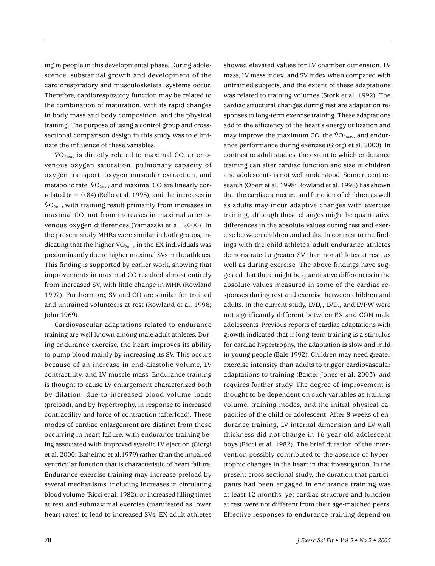ing in people in this developmental phase. During adolescence, substantial growth and development of the cardiorespiratory and musculoskeletal systems occur. Therefore, cardiorespiratory function may be related to the combination of maturation, with its rapid changes in body mass and body composition, and the physical training. The purpose of using a control group and crosssectional comparison design in this study was to eliminate the influence of these variables.

 $\rm{\dot{VO}_{2max}}$  is directly related to maximal CO, arteriovenous oxygen saturation, pulmonary capacity of oxygen transport, oxygen muscular extraction, and metabolic rate.  $\rm{VO}_{2max}$  and maximal CO are linearly correlated  $(r = 0.84)$  (Bello et al. 1995), and the increases in  $\rm{\ddot{VO}_{2max}}$  with training result primarily from increases in maximal CO, not from increases in maximal arteriovenous oxygen differences (Yamazaki et al. 2000). In the present study MHRs were similar in both groups, indicating that the higher  $\rm{VO}_{2\text{max}}$  in the EX individuals was predominantly due to higher maximal SVs in the athletes. This finding is supported by earlier work, showing that improvements in maximal CO resulted almost entirely from increased SV, with little change in MHR (Rowland 1992). Furthermore, SV and CO are similar for trained and untrained volunteers at rest (Rowland et al. 1998; John 1969).

Cardiovascular adaptations related to endurance training are well known among male adult athletes. During endurance exercise, the heart improves its ability to pump blood mainly by increasing its SV. This occurs because of an increase in end-diastolic volume, LV contractility, and LV muscle mass. Endurance training is thought to cause LV enlargement characterized both by dilation, due to increased blood volume loads (preload), and by hypertrophy, in response to increased contractility and force of contraction (afterload). These modes of cardiac enlargement are distinct from those occurring in heart failure, with endurance training being associated with improved systolic LV ejection (Giorgi et al. 2000; Ikaheimo et al.1979) rather than the impaired ventricular function that is characteristic of heart failure. Endurance-exercise training may increase preload by several mechanisms, including increases in circulating blood volume (Ricci et al. 1982), or increased filling times at rest and submaximal exercise (manifested as lower heart rates) to lead to increased SVs. EX adult athletes showed elevated values for LV chamber dimension, LV mass, LV mass index, and SV index when compared with untrained subjects, and the extent of these adaptations was related to training volumes (Stork et al. 1992). The cardiac structural changes during rest are adaptation responses to long-term exercise training. These adaptations add to the efficiency of the heart's energy utilization and may improve the maximum CO, the  $\rm{VO}_{2\text{max}}$ , and endurance performance during exercise (Giorgi et al. 2000). In contrast to adult studies, the extent to which endurance training can alter cardiac function and size in children and adolescents is not well understood. Some recent research (Obert et al. 1998; Rowland et al. 1998) has shown that the cardiac structure and function of children as well as adults may incur adaptive changes with exercise training, although these changes might be quantitative differences in the absolute values during rest and exercise between children and adults. In contrast to the findings with the child athletes, adult endurance athletes demonstrated a greater SV than nonathletes at rest, as well as during exercise. The above findings have suggested that there might be quantitative differences in the absolute values measured in some of the cardiac responses during rest and exercise between children and adults. In the current study,  $LVD<sub>d</sub>$ ,  $LVD<sub>s</sub>$ , and  $LVPW$  were not significantly different between EX and CON male adolescents. Previous reports of cardiac adaptations with growth indicated that if long-term training is a stimulus for cardiac hypertrophy, the adaptation is slow and mild in young people (Bale 1992). Children may need greater exercise intensity than adults to trigger cardiovascular adaptations to training (Baxter-Jones et al. 2003), and requires further study. The degree of improvement is thought to be dependent on such variables as training volume, training modes, and the initial physical capacities of the child or adolescent. After 8 weeks of endurance training, LV internal dimension and LV wall thickness did not change in 16-year-old adolescent boys (Ricci et al. 1982). The brief duration of the intervention possibly contributed to the absence of hypertrophic changes in the heart in that investigation. In the present cross-sectional study, the duration that participants had been engaged in endurance training was at least 12 months, yet cardiac structure and function at rest were not different from their age-matched peers. Effective responses to endurance training depend on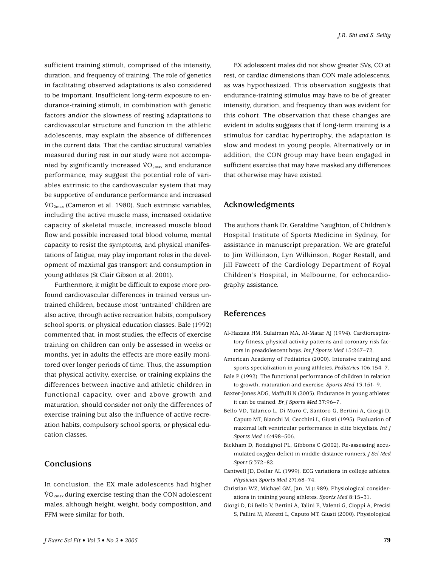sufficient training stimuli, comprised of the intensity, duration, and frequency of training. The role of genetics in facilitating observed adaptations is also considered to be important. Insufficient long-term exposure to endurance-training stimuli, in combination with genetic factors and/or the slowness of resting adaptations to cardiovascular structure and function in the athletic adolescents, may explain the absence of differences in the current data. That the cardiac structural variables measured during rest in our study were not accompanied by significantly increased  $\rm{VO}_{2max}$  and endurance performance, may suggest the potential role of variables extrinsic to the cardiovascular system that may be supportive of endurance performance and increased  $\rm \ddot{VO}_{2max}$  (Cameron et al. 1980). Such extrinsic variables, including the active muscle mass, increased oxidative capacity of skeletal muscle, increased muscle blood flow and possible increased total blood volume, mental capacity to resist the symptoms, and physical manifestations of fatigue, may play important roles in the development of maximal gas transport and consumption in young athletes (St Clair Gibson et al. 2001).

Furthermore, it might be difficult to expose more profound cardiovascular differences in trained versus untrained children, because most 'untrained' children are also active, through active recreation habits, compulsory school sports, or physical education classes. Bale (1992) commented that, in most studies, the effects of exercise training on children can only be assessed in weeks or months, yet in adults the effects are more easily monitored over longer periods of time. Thus, the assumption that physical activity, exercise, or training explains the differences between inactive and athletic children in functional capacity, over and above growth and maturation, should consider not only the differences of exercise training but also the influence of active recreation habits, compulsory school sports, or physical education classes.

#### **Conclusions**

In conclusion, the EX male adolescents had higher  $\rm \ddot{VO}_{2max}$  during exercise testing than the CON adolescent males, although height, weight, body composition, and FFM were similar for both.

EX adolescent males did not show greater SVs, CO at rest, or cardiac dimensions than CON male adolescents, as was hypothesized. This observation suggests that endurance-training stimulus may have to be of greater intensity, duration, and frequency than was evident for this cohort. The observation that these changes are evident in adults suggests that if long-term training is a stimulus for cardiac hypertrophy, the adaptation is slow and modest in young people. Alternatively or in addition, the CON group may have been engaged in sufficient exercise that may have masked any differences that otherwise may have existed.

#### **Acknowledgments**

The authors thank Dr. Geraldine Naughton, of Children's Hospital Institute of Sports Medicine in Sydney, for assistance in manuscript preparation. We are grateful to Jim Wilkinson, Lyn Wilkinson, Roger Restall, and Jill Fawcett of the Cardiology Department of Royal Children's Hospital, in Melbourne, for echocardiography assistance.

#### **References**

- Al-Hazzaa HM, Sulaiman MA, Al-Matar AJ (1994). Cardiorespiratory fitness, physical activity patterns and coronary risk factors in preadolescent boys. *Int J Sports Med* 15:267–72.
- American Academy of Pediatrics (2000). Intensive training and sports specialization in young athletes. *Pediatrics* 106:154–7.
- Bale P (1992). The functional performance of children in relation to growth, maturation and exercise. *Sports Med* 13:151–9.
- Baxter-Jones ADG, Maffulli N (2003). Endurance in young athletes: it can be trained. *Br J Sports Med* 37:96–7.
- Bello VD, Talarico L, Di Muro C, Santoro G, Bertini A, Giorgi D, Caputo MT, Bianchi M, Cecchini L, Giusti (1995). Evaluation of maximal left ventricular performance in elite bicyclists. *Int J Sports Med* 16:498–506.
- Bickham D, Roddignol PL, Gibbons C (2002). Re-assessing accumulated oxygen deficit in middle-distance runners. *J Sci Med Sport* 5:372–82.
- Cantwell JD, Dollar AL (1999). ECG variations in college athletes. *Physician Sports Med* 27):68–74.
- Christian WZ, Michael GM, Jan, M (1989). Physiological considerations in training young athletes. *Sports Med* 8:15–31.
- Giorgi D, Di Bello V, Bertini A, Talini E, Valenti G, Cioppi A, Precisi S, Pallini M, Moretti L, Caputo MT, Giusti (2000). Physiological